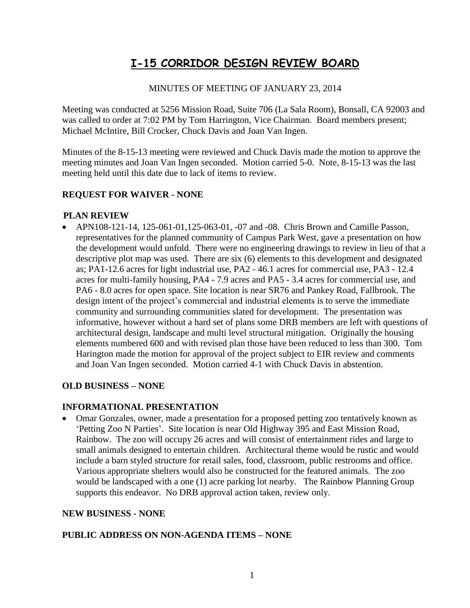# **I-15 CORRIDOR DESIGN REVIEW BOARD**

## MINUTES OF MEETING OF JANUARY 23, 2014

Meeting was conducted at 5256 Mission Road, Suite 706 (La Sala Room), Bonsall, CA 92003 and was called to order at 7:02 PM by Tom Harrington, Vice Chairman. Board members present; Michael McIntire, Bill Crocker, Chuck Davis and Joan Van Ingen.

Minutes of the 8-15-13 meeting were reviewed and Chuck Davis made the motion to approve the meeting minutes and Joan Van Ingen seconded. Motion carried 5-0. Note, 8-15-13 was the last meeting held until this date due to lack of items to review.

#### **REQUEST FOR WAIVER - NONE**

#### **PLAN REVIEW**

• APN108-121-14, 125-061-01,125-063-01, -07 and -08. Chris Brown and Camille Passon, representatives for the planned community of Campus Park West, gave a presentation on how the development would unfold. There were no engineering drawings to review in lieu of that a descriptive plot map was used. There are six (6) elements to this development and designated as; PA1-12.6 acres for light industrial use, PA2 - 46.1 acres for commercial use, PA3 - 12.4 acres for multi-family housing, PA4 - 7.9 acres and PA5 - 3.4 acres for commercial use, and PA6 - 8.0 acres for open space. Site location is near SR76 and Pankey Road, Fallbrook. The design intent of the project's commercial and industrial elements is to serve the immediate community and surrounding communities slated for development. The presentation was informative, however without a hard set of plans some DRB members are left with questions of architectural design, landscape and multi level structural mitigation. Originally the housing elements numbered 600 and with revised plan those have been reduced to less than 300. Tom Harington made the motion for approval of the project subject to EIR review and comments and Joan Van Ingen seconded. Motion carried 4-1 with Chuck Davis in abstention.

## **OLD BUSINESS – NONE**

#### **INFORMATIONAL PRESENTATION**

• Omar Gonzales, owner, made a presentation for a proposed petting zoo tentatively known as 'Petting Zoo N Parties'. Site location is near Old Highway 395 and East Mission Road, Rainbow. The zoo will occupy 26 acres and will consist of entertainment rides and large to small animals designed to entertain children. Architectural theme would be rustic and would include a barn styled structure for retail sales, food, classroom, public restrooms and office. Various appropriate shelters would also be constructed for the featured animals. The zoo would be landscaped with a one (1) acre parking lot nearby. The Rainbow Planning Group supports this endeavor. No DRB approval action taken, review only.

## **NEW BUSINESS - NONE**

#### **PUBLIC ADDRESS ON NON-AGENDA ITEMS – NONE**